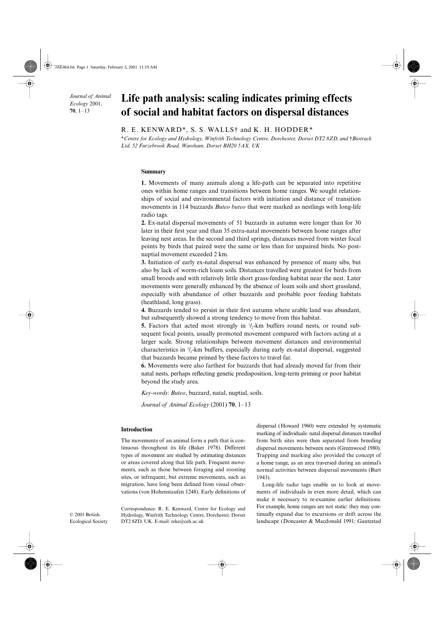*Journal of Animal Ecology* 2001, **70**, 1–13

# Life path analysis: scaling indicates priming effects **of social and habitat factors on dispersal distances**

# R. E. KENWARD\*, S. S. WALLS† and K. H. HODDER\*

\**Centre for Ecology and Hydrology, Winfrith Technology Centre, Dorchester, Dorset DT2 8ZD, and* †*Biotrack Ltd, 52 Furzebrook Road, Wareham, Dorset BH20 5AX, UK*

#### **Summary**

**1.** Movements of many animals along a life-path can be separated into repetitive ones within home ranges and transitions between home ranges. We sought relationships of social and environmental factors with initiation and distance of transition movements in 114 buzzards *Buteo buteo* that were marked as nestlings with long-life radio tags.

**2.** Ex-natal dispersal movements of 51 buzzards in autumn were longer than for 30 later in their first year and than 35 extra-natal movements between home ranges after leaving nest areas. In the second and third springs, distances moved from winter focal points by birds that paired were the same or less than for unpaired birds. No postnuptial movement exceeded 2 km.

**3.** Initiation of early ex-natal dispersal was enhanced by presence of many sibs, but also by lack of worm-rich loam soils. Distances travelled were greatest for birds from small broods and with relatively little short grass-feeding habitat near the nest. Later movements were generally enhanced by the absence of loam soils and short grassland, especially with abundance of other buzzards and probable poor feeding habitats (heathland, long grass).

**4.** Buzzards tended to persist in their first autumn where arable land was abundant, but subsequently showed a strong tendency to move from this habitat.

**5.** Factors that acted most strongly in  $1/2$ -km buffers round nests, or round subsequent focal points, usually promoted movement compared with factors acting at a larger scale. Strong relationships between movement distances and environmental characteristics in 1 /2-km buffers, especially during early ex-natal dispersal, suggested that buzzards became primed by these factors to travel far.

**6.** Movements were also farthest for buzzards that had already moved far from their natal nests, perhaps reflecting genetic predisposition, long-term priming or poor habitat beyond the study area.

*Key-words*: *Buteo*, buzzard, natal, nuptial, soils.

*Journal of Animal Ecology* (2001) **70**, 1–13

#### **Introduction**

The movements of an animal form a path that is continuous throughout its life (Baker 1978). Different types of movement are studied by estimating distances or areas covered along that life path. Frequent movements, such as those between foraging and roosting sites, or infrequent, but extreme movements, such as migration, have long been defined from visual observations (von Hohenstaufen 1248). Early definitions of

Correspondence: R. E. Kenward, Centre for Ecology and Hydrology, Winfrith Technology Centre, Dorchester, Dorset

DT2 8ZD, UK. E-mail: reke@ceh.ac.uk

© 2001 British Ecological Society dispersal (Howard 1960) were extended by systematic marking of individuals: natal dispersal distances travelled from birth sites were then separated from breeding dispersal movements between nests (Greenwood 1980). Trapping and marking also provided the concept of a home range, as an area traversed during an animal's normal activities between dispersal movements (Burt 1943).

Long-life radio tags enable us to look at movements of individuals in even more detail, which can make it necessary to re-examine earlier definitions. For example, home ranges are not static: they may continually expand due to excursions or drift across the landscape (Doncaster & Macdonald 1991; Gautestad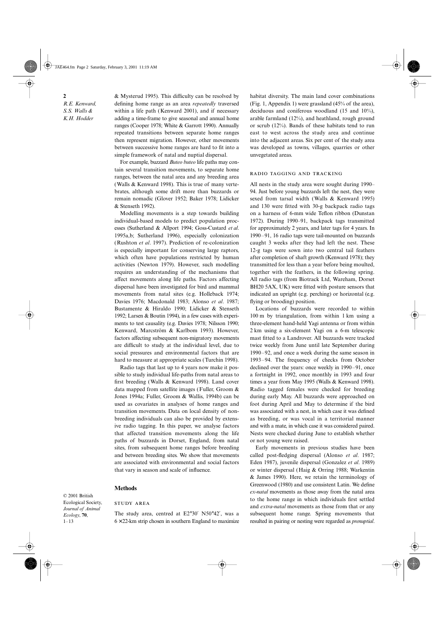**2** *R.E. Kenward, S.S. Walls & K.H. Hodder*

& Mysterud 1995). This difficulty can be resolved by defining home range as an area *repeatedly* traversed within a life path (Kenward 2001), and if necessary adding a time-frame to give seasonal and annual home ranges (Cooper 1978; White & Garrott 1990). Annually repeated transitions between separate home ranges then represent migration. However, other movements between successive home ranges are hard to fit into a simple framework of natal and nuptial dispersal.

For example, buzzard *Buteo buteo* life paths may contain several transition movements, to separate home ranges, between the natal area and any breeding area (Walls & Kenward 1998). This is true of many vertebrates, although some drift more than buzzards or remain nomadic (Glover 1952; Baker 1978; Lidicker & Stenseth 1992).

Modelling movements is a step towards building individual-based models to predict population processes (Sutherland & Allport 1994; Goss-Custard *et al*. 1995a,b; Sutherland 1996), especially colonization (Rushton *et al*. 1997). Prediction of re-colonization is especially important for conserving large raptors, which often have populations restricted by human activities (Newton 1979). However, such modelling requires an understanding of the mechanisms that affect movements along life paths. Factors affecting dispersal have been investigated for bird and mammal movements from natal sites (e.g. Holleback 1974; Davies 1976; Macdonald 1983; Alonso *et al*. 1987; Bustamente & Hiraldo 1990; Lidicker & Stenseth 1992; Larsen & Boutin 1994), in a few cases with experiments to test causality (e.g. Davies 1978; Nilsson 1990; Kenward, Marcström & Karlbom 1993). However, factors affecting subsequent non-migratory movements are difficult to study at the individual level, due to social pressures and environmental factors that are hard to measure at appropriate scales (Turchin 1998).

Radio tags that last up to 4 years now make it possible to study individual life-paths from natal areas to first breeding (Walls & Kenward 1998). Land cover data mapped from satellite images (Fuller, Groom & Jones 1994a; Fuller, Groom & Wallis, 1994b) can be used as covariates in analyses of home ranges and transition movements. Data on local density of nonbreeding individuals can also be provided by extensive radio tagging. In this paper, we analyse factors that affected transition movements along the life paths of buzzards in Dorset, England, from natal sites, from subsequent home ranges before breeding and between breeding sites. We show that movements are associated with environmental and social factors that vary in season and scale of influence.

#### **Methods**

Ecological Society, *Journal of Animal Ecology*, **70**,

© 2001 British

 $1 - 13$ 

# **STUDY AREA**

The study area, centred at E2°30′ N50°42′, was a  $6 \times 22$ -km strip chosen in southern England to maximize habitat diversity. The main land cover combinations (Fig. 1, Appendix 1) were grassland (45% of the area), deciduous and coniferous woodland (15 and 10%), arable farmland (12%), and heathland, rough ground or scrub (12%). Bands of these habitats tend to run east to west across the study area and continue into the adjacent areas. Six per cent of the study area was developed as towns, villages, quarries or other unvegetated areas.

#### RADIO TAGGING AND TRACKING

All nests in the study area were sought during 1990– 94. Just before young buzzards left the nest, they were sexed from tarsal width (Walls & Kenward 1995) and 130 were fitted with 30-g backpack radio tags on a harness of 6-mm wide Teflon ribbon (Dunstan 1972). During 1990–91, backpack tags transmitted for approximately 2 years, and later tags for 4 years. In 1990–91, 16 radio tags were tail-mounted on buzzards caught 3 weeks after they had left the nest. These 12-g tags were sown into two central tail feathers after completion of shaft growth (Kenward 1978); they transmitted for less than a year before being moulted, together with the feathers, in the following spring. All radio tags (from Biotrack Ltd, Wareham, Dorset BH20 5AX, UK) were fitted with posture sensors that indicated an upright (e.g. perching) or horizontal (e.g. flying or brooding) position.

Locations of buzzards were recorded to within 100 m by triangulation, from within 1 km using a three-element hand-held Yagi antenna or from within 2 km using a six-element Yagi on a 6-m telescopic mast fitted to a Landrover. All buzzards were tracked twice weekly from June until late September during 1990–92, and once a week during the same season in 1993–94. The frequency of checks from October declined over the years: once weekly in 1990–91, once a fortnight in 1992, once monthly in 1993 and four times a year from May 1995 (Walls & Kenward 1998). Radio tagged females were checked for breeding during early May. All buzzards were approached on foot during April and May to determine if the bird was associated with a nest, in which case it was defined as breeding, or was vocal in a territorial manner and with a mate, in which case it was considered paired. Nests were checked during June to establish whether or not young were raised.

Early movements in previous studies have been called post-fledging dispersal (Alonso *et al*. 1987; Eden 1987), juvenile dispersal (Gonzalez *et al*. 1989) or winter dispersal (Haig & Orring 1988; Warkentin & James 1990). Here, we retain the terminology of Greenwood (1980) and use consistent Latin. We define *ex-natal* movements as those away from the natal area to the home range in which individuals first settled and *extra-natal* movements as those from that or any subsequent home range. Spring movements that resulted in pairing or nesting were regarded as *prenuptial*.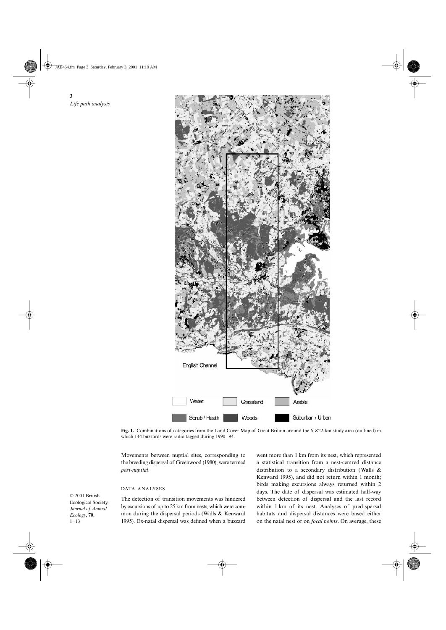JAE464.fm Page 3 Saturday, February 3, 2001 11:19 AM

**3** *Life path analysis*



**Fig. 1.** Combinations of categories from the Land Cover Map of Great Britain around the 6 × 22-km study area (outlined) in which 144 buzzards were radio tagged during 1990–94.

Movements between nuptial sites, corresponding to the breeding dispersal of Greenwood (1980), were termed *post-nuptial*.

## DATA ANALYSES

© 2001 British Ecological Society, *Journal of Animal Ecology*, **70**, 1–13

The detection of transition movements was hindered by excursions of up to 25 km from nests, which were common during the dispersal periods (Walls & Kenward 1995). Ex-natal dispersal was defined when a buzzard

went more than 1 km from its nest, which represented a statistical transition from a nest-centred distance distribution to a secondary distribution (Walls & Kenward 1995), and did not return within 1 month; birds making excursions always returned within 2 days. The date of dispersal was estimated half-way between detection of dispersal and the last record within 1 km of its nest. Analyses of predispersal habitats and dispersal distances were based either on the natal nest or on *focal points*. On average, these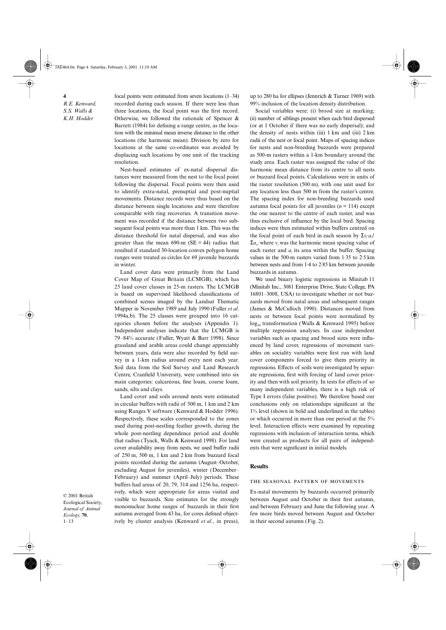**4** *R.E. Kenward, S.S. Walls & K.H. Hodder*

focal points were estimated from seven locations (1–34) recorded during each season. If there were less than three locations, the focal point was the first record. Otherwise, we followed the rationale of Spencer  $\&$ Barrett (1984) for defining a range centre, as the location with the minimal mean inverse distance to the other locations (the harmonic mean). Division by zero for locations at the same co-ordinates was avoided by displacing such locations by one unit of the tracking resolution.

Nest-based estimates of ex-natal dispersal distances were measured from the nest to the focal point following the dispersal. Focal points were then used to identify extra-natal, prenuptial and post-nuptial movements. Distance records were thus based on the distance between single locations and were therefore comparable with ring recoveries. A transition movement was recorded if the distance between two subsequent focal points was more than 1 km. This was the distance threshold for natal dispersal, and was also greater than the mean  $690-m$  (SE = 44) radius that resulted if standard 30-location convex polygon home ranges were treated as circles for 69 juvenile buzzards in winter.

Land cover data were primarily from the Land Cover Map of Great Britain (LCMGB), which has 25 land cover classes in 25-m rasters. The LCMGB is based on supervised likelihood classifications of combined scenes imaged by the Landsat Thematic Mapper in November 1989 and July 1990 (Fuller *et al*. 1994a,b). The 25 classes were grouped into 16 categories chosen before the analyses (Appendix 1). Independent analyses indicate that the LCMGB is 79–84% accurate (Fuller, Wyatt & Barr 1998). Since grassland and arable areas could change appreciably between years, data were also recorded by field survey in a 1-km radius around every nest each year. Soil data from the Soil Survey and Land Research Centre, Cranfield University, were combined into six main categories: calcareous, fine loam, coarse loam, sands, silts and clays.

Land cover and soils around nests were estimated in circular buffers with radii of 500 m, 1 km and 2 km using Ranges V software (Kenward & Hodder 1996). Respectively, these scales corresponded to the zones used during post-nestling feather growth, during the whole post-nestling dependence period and double that radius (Tyack, Walls & Kenward 1998). For land cover availability away from nests, we used buffer radii of 250 m, 500 m, 1 km and 2 km from buzzard focal points recorded during the autumn (August–October, excluding August for juveniles), winter (December– February) and summer (April–July) periods. These buffers had areas of 20, 79, 314 and 1256 ha, respectively, which were appropriate for areas visited and visible to buzzards. Size estimates for the strongly mononuclear home ranges of buzzards in their first autumn averaged from 43 ha, for cores defined objectively by cluster analysis (Kenward *et al.*, in press),

up to 280 ha for ellipses (Jennrich & Turner 1969) with 99% inclusion of the location density distribution.

Social variables were: (i) brood size at marking; (ii) number of siblings present when each bird dispersed (or at 1 October if there was no early dispersal); and the density of nests within (iii)  $1 \text{ km}$  and (iii)  $2 \text{ km}$ radii of the nest or focal point. Maps of spacing indices for nests and non-breeding buzzards were prepared as 500-m rasters within a 1-km boundary around the study area. Each raster was assigned the value of the harmonic mean distance from its centre to all nests or buzzard focal points. Calculations were in units of the raster resolution (500 m), with one unit used for any location less than 500 m from the raster's centre. The spacing index for non-breeding buzzards used autumn focal points for all juveniles  $(n = 114)$  except the one nearest to the centre of each raster, and was thus exclusive of influence by the local bird. Spacing indices were then estimated within buffers centred on the focal point of each bird in each season by  $\sum v_i \cdot a_i$  $\Sigma a_i$ , where  $v_i$  was the harmonic mean spacing value of each raster and  $a_i$  its area within the buffer. Spacing values in the 500-m rasters varied from 1·35 to 2·5 km between nests and from 1·4 to 2·85 km between juvenile buzzards in autumn.

We used binary logistic regressions in Minitab 11 (Minitab Inc., 3081 Enterprise Drive, State College, PA 16801–3008, USA) to investigate whether or not buzzards moved from natal areas and subsequent ranges (James & McCulloch 1990). Distances moved from nests or between focal points were normalized by log<sub>10</sub> transformation (Walls & Kenward 1995) before multiple regression analyses. In case independent variables such as spacing and brood sizes were influenced by land cover, regressions of movement variables on sociality variables were first run with land cover components forced to give them priority in regressions. Effects of soils were investigated by separate regressions, first with forcing of land cover priority and then with soil priority. In tests for effects of so many independent variables, there is a high risk of Type I errors (false positive). We therefore based our conclusions only on relationships significant at the 1% level (shown in bold and underlined in the tables) or which occurred in more than one period at the 5% level. Interaction effects were examined by repeating regressions with inclusion of interaction terms, which were created as products for all pairs of independents that were significant in initial models.

#### **Results**

### THE SEASONAL PATTERN OF MOVEMENTS

Ex-natal movements by buzzards occurred primarily between August and October in their first autumn, and between February and June the following year. A few more birds moved between August and October in their second autumn (Fig. 2).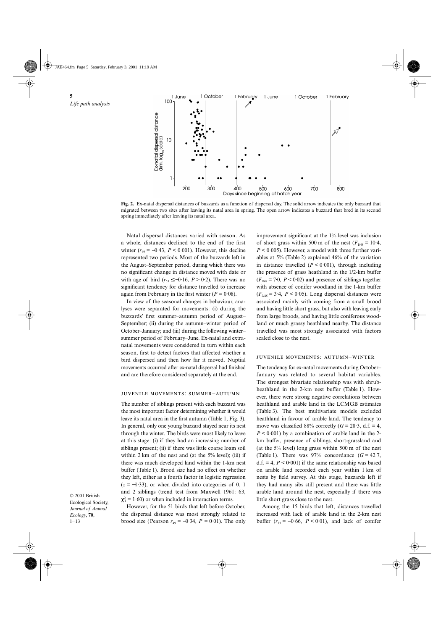**5** *Life path analysis*





Natal dispersal distances varied with season. As a whole, distances declined to the end of the first winter  $(r_{69} = -0.43, P \le 0.001)$ . However, this decline represented two periods. Most of the buzzards left in the August–September period, during which there was no significant change in distance moved with date or with age of bird ( $r_{53} \le -0.16$ ,  $P > 0.2$ ). There was no significant tendency for distance travelled to increase again from February in the first winter  $(P = 0.08)$ .

In view of the seasonal changes in behaviour, analyses were separated for movements: (i) during the buzzards' first summer–autumn period of August– September; (ii) during the autumn-winter period of October–January; and (iii) during the following winter– summer period of February–June. Ex-natal and extranatal movements were considered in turn within each season, first to detect factors that affected whether a bird dispersed and then how far it moved. Nuptial movements occurred after ex-natal dispersal had finished and are therefore considered separately at the end.

#### JUVENILE MOVEMENTS: SUMMER-AUTUMN

The number of siblings present with each buzzard was the most important factor determining whether it would leave its natal area in the first autumn (Table 1, Fig. 3). In general, only one young buzzard stayed near its nest through the winter. The birds were most likely to leave at this stage: (i) if they had an increasing number of siblings present; (ii) if there was little coarse loam soil within 2 km of the nest and (at the  $5\%$  level); (iii) if there was much developed land within the 1-km nest buffer (Table 1). Brood size had no effect on whether they left, either as a fourth factor in logistic regression  $(z = -1.33)$ , or when divided into categories of 0, 1 and 2 siblings (trend test from Maxwell 1961: 63,  $\chi_1^2 = 1.60$ ) or when included in interaction terms.

However, for the 51 birds that left before October, the dispersal distance was most strongly related to brood size (Pearson  $r_{49} = -0.34$ ,  $P = 0.01$ ). The only

improvement significant at the 1% level was inclusion of short grass within 500 m of the nest  $(F_{1/48} = 10.4,$  $P < 0.005$ ). However, a model with three further variables at 5% (Table 2) explained 46% of the variation in distance travelled  $(P < 0.001)$ , through including the presence of grass heathland in the 1/2-km buffer  $(F<sub>1/47</sub> = 7.0, P < 0.02)$  and presence of siblings together with absence of conifer woodland in the 1-km buffer  $(F<sub>2/45</sub> = 3.4, P < 0.05)$ . Long dispersal distances were associated mainly with coming from a small brood and having little short grass, but also with leaving early from large broods, and having little coniferous woodland or much grassy heathland nearby. The distance travelled was most strongly associated with factors scaled close to the nest.

## JUVENILE MOVEMENTS: AUTUMN-WINTER

The tendency for ex-natal movements during October– January was related to several habitat variables. The strongest bivariate relationship was with shrubheathland in the 2-km nest buffer (Table 1). However, there were strong negative correlations between heathland and arable land in the LCMGB estimates (Table 3). The best multivariate models excluded heathland in favour of arable land. The tendency to move was classified  $88\%$  correctly ( $G = 28.3$ , d.f. = 4,  $P < 0.001$ ) by a combination of arable land in the 2km buffer, presence of siblings, short-grassland and (at the 5% level) long grass within 500 m of the nest (Table 1). There was  $97\%$  concordance ( $G = 42.7$ , d.f.  $= 4, P \leq 0.001$  if the same relationship was based on arable land recorded each year within 1 km of nests by field survey. At this stage, buzzards left if they had many sibs still present and there was little arable land around the nest, especially if there was little short grass close to the nest.

Among the 15 birds that left, distances travelled increased with lack of arable land in the 2-km nest buffer  $(r_{13} = -0.66, P < 0.01)$ , and lack of conifer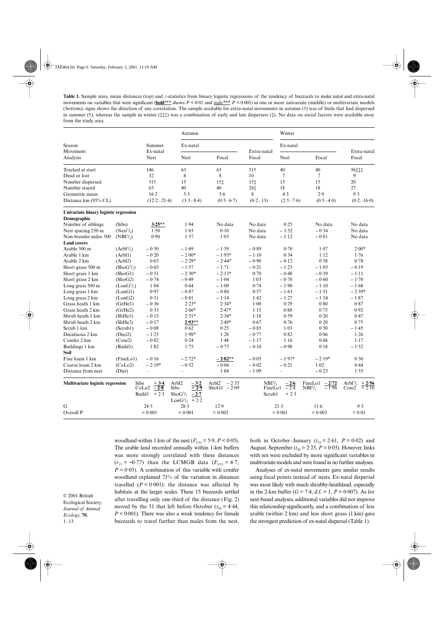**6 Table 1.** Sample sizes, mean distances (top) and *z*-statistics from binary logistic regressions of the tendency of buzzards to make natal and extra-natal movements on variables that were significant (**bold**\*\*\* shows  $P < 0.01$  and *italic*\*\*\*  $P < 0.001$ ) in one or more univariate (middle) or multivariate models *S.S. Walls &*  (bottom); signs shows the direction of any correlation. The sample available for extra-natal movements in autumn (†) was of birds that had dispersed *K.H. Hodder* from the study area in summer (†), whereas the sample in winter (‡‡‡) was a combination of early and late dispersers (‡). No data on social factors were available away

|                                             |                                     |                                                                               | Autumn                                                                          |                                    |                                       | Winter                     |                                                               |                                                             |  |
|---------------------------------------------|-------------------------------------|-------------------------------------------------------------------------------|---------------------------------------------------------------------------------|------------------------------------|---------------------------------------|----------------------------|---------------------------------------------------------------|-------------------------------------------------------------|--|
| Season<br>Movement                          |                                     | Summer<br>Ex-natal                                                            | Ex-natal                                                                        |                                    |                                       | Ex-natal                   |                                                               |                                                             |  |
| Analysis                                    |                                     | <b>Nest</b>                                                                   | <b>Nest</b>                                                                     | Focal                              | Extra-natal<br>Focal                  | <b>Nest</b>                | Focal                                                         | Extra-natal<br>Focal                                        |  |
| Tracked at start                            |                                     | 146                                                                           | 63                                                                              | 63                                 | 51 <sup>†</sup>                       | 40                         | 40                                                            | 56‡‡‡                                                       |  |
| Dead or lost                                |                                     | 32                                                                            | 8                                                                               | 8                                  | 10                                    | $\overline{7}$             | $\tau$                                                        | 9                                                           |  |
| Number dispersed                            |                                     | 51 <sup>†</sup>                                                               | 15                                                                              | 15 <sup>†</sup>                    | 15 <sub>1</sub>                       | 15                         | 15                                                            | 20                                                          |  |
| Number stayed                               |                                     | 63                                                                            | 40                                                                              | 40                                 | 26‡                                   | 18                         | 18                                                            | 27                                                          |  |
| Geometric mean                              |                                     | $16-2$                                                                        | 5.3                                                                             | 3.6                                | 8                                     | 4.3                        | 2.9                                                           | 9.3                                                         |  |
| Distance km (95% CL)                        |                                     | $(12.2 - 21.4)$                                                               | $(3.3 - 8.4)$                                                                   | $(0.5 - 6.7)$                      | $(0.2 - 13)$                          | $(2.5 - 7.6)$              | $(0.5 - 4.0)$                                                 | $(0.2 - 16.0)$                                              |  |
| Univariate binary logistic regression       |                                     |                                                                               |                                                                                 |                                    |                                       |                            |                                                               |                                                             |  |
| Demographic                                 |                                     |                                                                               |                                                                                 |                                    |                                       |                            |                                                               |                                                             |  |
| Number of siblings                          | (Sibs)                              | $3.25**$                                                                      | 1.94                                                                            | No data                            | No data                               | 0.25                       | No data                                                       | No data                                                     |  |
| Nest spacing 250 m                          | (Nest <sup>1</sup> / <sub>A</sub> ) | 1.50                                                                          | 1.03                                                                            | 0.10                               | No data                               | $-1.52$                    | $-0.34$                                                       | No data                                                     |  |
| Non-breeder index 500<br><b>Land covers</b> | (NBI <sup>1</sup> / <sub>2</sub> )  | 0.90                                                                          | 1.57                                                                            | 1.03                               | No data                               | $-1.12$                    | $-0.81$                                                       | No data                                                     |  |
| Arable 500 m                                | $(Arbl^1/\n)$                       | $-0.50$                                                                       | $-1.69$                                                                         | $-1.59$                            | $-0.89$                               | 0.70                       | 1.07                                                          | $2.00*$                                                     |  |
| Arable 1 km                                 | (Arb11)                             | $-0.20$                                                                       | $-2.00*$                                                                        | $-1.93*$                           | $-1.10$                               | 0.34                       | $1 - 12$                                                      | 1.76                                                        |  |
| Arable 2 km                                 | (Arbl2)                             | 0.65                                                                          | $-2.29*$                                                                        | $-2.44*$                           | $-0.90$                               | $-0.12$                    | 0.58                                                          | 0.78                                                        |  |
| Short grass 500 m                           | (ShoG <sup>1</sup> / <sub>2</sub> ) | $-0.65$                                                                       | $-1.57$                                                                         | $-1.71$                            | $-0.21$                               | $-1.23$                    | $-1.05$                                                       | $-0.19$                                                     |  |
| Short grass 1 km                            | (ShoG1)                             | $-0.51$                                                                       | $-2.30*$                                                                        | $-2.13*$                           | 0.70                                  | $-0.48$                    | $-0.39$                                                       | $-1.11$                                                     |  |
| Short grass 2 km                            | (ShoG2)                             | $-0.74$                                                                       | $-0.49$                                                                         | $-1.04$                            | 1.03                                  | $-0.70$                    | $-0.60$                                                       | $-1.70$                                                     |  |
| Long grass 500 m                            | (LonG <sup>1</sup> / <sub>2</sub> ) | 1.84                                                                          | 0.64                                                                            | $-1.00$                            | 0.74                                  | $-1.90$                    | $-1.10$                                                       | $-1.68$                                                     |  |
| Long grass 1 km                             | (LonG1)                             | 0.97                                                                          | $-0.87$                                                                         | $-0.80$                            | 0.57                                  | $-1.63$                    | $-1.51$                                                       | $-2.39*$                                                    |  |
| Long grass 2 km                             | (LonG2)                             | 0.31                                                                          | $-0.81$                                                                         | $-1.14$                            | 1.42                                  | $-1.27$                    | $-1.54$                                                       | $-1.87$                                                     |  |
| Grass heath 1 km                            | (GrHe1)                             | $-0.36$                                                                       | $2.23*$                                                                         | $2.34*$                            | 1.00                                  | 0.29                       | 0.80                                                          | 0.87                                                        |  |
| Grass heath 2 km                            | (GrHe2)                             | 0.33                                                                          | $2.66*$                                                                         | $2.47*$                            | 1.15                                  | 0.88                       | 0.75                                                          | 0.92                                                        |  |
| Shrub heath 1 km                            | (ShHe1)                             | $-0.15$                                                                       | $2.51*$                                                                         | $2.34*$                            | $1-18$                                | 0.59                       | 0.20                                                          | 0.47                                                        |  |
| Shrub heath 2 km                            | (ShHe2)                             | $-0.17$                                                                       | $2.93**$                                                                        | $2.49*$                            | 0.67                                  | 0.76                       | 0.20                                                          | 0.75                                                        |  |
| Scrub 1 km                                  | (Scrub1)                            | $-0.08$                                                                       | 0.62                                                                            | 0.25                               | $-0.85$                               | 1.03                       | 0.50                                                          | $-1.45$                                                     |  |
| Deciduous 2 km                              | (Deci2)                             | $-1.23$                                                                       | $1.98*$                                                                         | 1.28                               | $-0.77$                               | 0.82                       | 0.06                                                          | 1.26                                                        |  |
| Conifer 2 km                                | (Coni2)                             | $-0.82$                                                                       | 0.24                                                                            | 1.48                               | $-1.17$                               | 1.16                       | 0.86                                                          | 1.17                                                        |  |
| Buildings 1 km                              | (Build1)                            | 1.82                                                                          | 1.75                                                                            | $-0.75$                            | $-0.10$                               | $-0.98$                    | 0.18                                                          | $-1.52$                                                     |  |
| Soil                                        |                                     |                                                                               |                                                                                 |                                    |                                       |                            |                                                               |                                                             |  |
| Fine loam 1 km                              | (FineLo1)                           | $-0.16$                                                                       | $-2.72*$                                                                        | $-2.82**$                          | $-0.05$                               | $-1.97*$                   | $-2.19*$                                                      | 0.30                                                        |  |
| Coarse loam 2 km                            | (CoLo2)                             | $-2.19*$                                                                      | $-0.52$                                                                         | $-0.06$                            | $-0.02$                               | $-0.21$                    | 1.02                                                          | 0.44                                                        |  |
| Distance from nest                          | (Dist)                              | $\equiv$                                                                      | $\equiv$                                                                        | 1.84                               | $-1.09$                               | $\overline{\phantom{0}}$   | $-0.25$                                                       | 1.35                                                        |  |
| Multivariate logistic regression            |                                     | <b>Sibs</b><br>$+3.4$<br>CoLo <sub>2</sub> $\overline{-2.8}$<br>Build1 $+2.3$ | Arbl2<br>$-3.2$<br>$+2.9$<br>Sibs<br>Sho $G^{1/2}$ - 2.7<br>Lon $G^{1/2}$ + 2.2 | Arbl2<br>$-2.35$<br>$ShoG1 - 2.09$ | $NBI\frac{1}{2}$<br>FineLo1<br>Scrub1 | $-2.6$<br>$-2.4$<br>$+2.3$ | FineLo1 $-2.72$<br>NBI <sup>1</sup> / <sub>2</sub><br>$-1.96$ | Arbl <sup>1</sup> / <sub>2</sub> + 2.56<br>$+2.10$<br>Coni2 |  |
| G                                           |                                     | 24.3                                                                          | 28.3                                                                            | 12.9                               |                                       | 21.3                       | $11-6$                                                        | 9.3                                                         |  |
| Overall P                                   |                                     | < 0.001                                                                       | < 0.001                                                                         | $= 0.002$                          |                                       | $= 0.001$                  | $= 0.003$                                                     | $= 0.01$                                                    |  |
|                                             |                                     |                                                                               |                                                                                 |                                    |                                       |                            |                                                               |                                                             |  |

© 2001 British Ecological Society, *Journal of Animal Ecology*, **70**,  $1 - 13$ 

woodland within 1 km of the nest ( $F_{1/12} = 5.9$ ,  $P < 0.05$ ). The arable land recorded annually within 1-km buffers was more strongly correlated with these distances  $(r_{13} = -0.77)$  than the LCMGB data  $(F_{1/12} = 4.7)$ ,  $P = 0.05$ ). A combination of this variable with conifer woodland explained 71% of the variation in distances travelled  $(P < 0.001)$ : the distance was affected by habitats at the larger scales. These 15 buzzards settled after travelling only one-third of the distance (Fig. 2) moved by the 51 that left before October ( $t_{64} = 4.44$ , *P* < 0·001). There was also a weak tendency for female buzzards to travel further than males from the nest,

both in October–January ( $t_{13} = 2.61$ ,  $P = 0.02$ ) and August–September ( $t_{49} = 2.23$ ,  $P = 0.03$ ). However, links with sex were excluded by more significant variables in multivariate models and were found in no further analyses.

Analyses of ex-natal movements gave similar results using focal points instead of nests. Ex-natal dispersal was most likely with much shrubby-heathland, especially in the 2-km buffer ( $G = 7.4$ , d.f. = 1,  $P = 0.007$ ). As for nest-based analyses, additional variables did not improve this relationship significantly, and a combination of less arable (within 2 km) and less short grass (1 km) gave the strongest prediction of ex-natal dispersal (Table 1).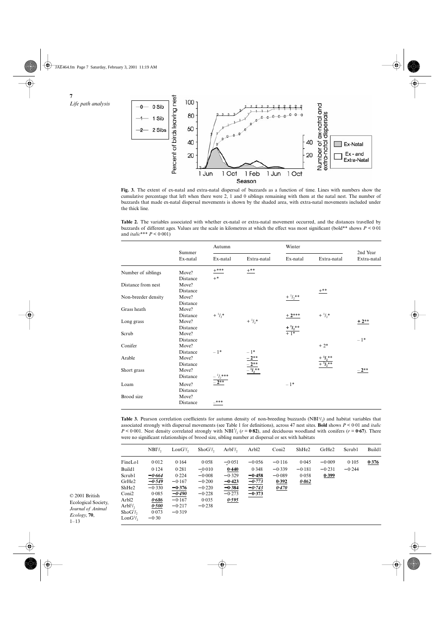⊕ JAE464.fm Page 7 Saturday, February 3, 2001 11:19 AM

> **7** *Life path analysis*



**Fig. 3.** The extent of ex-natal and extra-natal dispersal of buzzards as a function of time. Lines with numbers show the cumulative percentage that left when there were 2, 1 and 0 siblings remaining with them at the natal nest. The number of buzzards that made ex-natal dispersal movements is shown by the shaded area, with extra-natal movements included under the thick line.

**Table 2.** The variables associated with whether ex-natal or extra-natal movement occurred, and the distances travelled by buzzards of different ages. Values are the scale in kilometres at which the effect was most significant (bold\*\* shows *P* < 0·01 and *italic*\*\*\* *P* < 0·001)

| Summer<br>Ex-natal | Autumn                                                                                                                     |                                                                        | Winter                                                             |                                                                                           |                                                     |
|--------------------|----------------------------------------------------------------------------------------------------------------------------|------------------------------------------------------------------------|--------------------------------------------------------------------|-------------------------------------------------------------------------------------------|-----------------------------------------------------|
|                    | Ex-natal                                                                                                                   | Extra-natal                                                            | Ex-natal                                                           | Extra-natal                                                                               | 2nd Year<br>Extra-natal                             |
|                    | $+***$                                                                                                                     | $+***$                                                                 |                                                                    |                                                                                           |                                                     |
|                    | $+$ *                                                                                                                      |                                                                        |                                                                    |                                                                                           |                                                     |
|                    |                                                                                                                            |                                                                        |                                                                    |                                                                                           |                                                     |
|                    |                                                                                                                            |                                                                        |                                                                    |                                                                                           |                                                     |
|                    |                                                                                                                            |                                                                        |                                                                    |                                                                                           |                                                     |
|                    |                                                                                                                            |                                                                        |                                                                    |                                                                                           |                                                     |
|                    |                                                                                                                            |                                                                        |                                                                    |                                                                                           |                                                     |
|                    |                                                                                                                            |                                                                        | $+2***$                                                            |                                                                                           |                                                     |
| Move?              |                                                                                                                            |                                                                        |                                                                    |                                                                                           | $+2**$                                              |
|                    |                                                                                                                            |                                                                        |                                                                    |                                                                                           |                                                     |
| Move?              |                                                                                                                            |                                                                        |                                                                    |                                                                                           |                                                     |
| Distance           |                                                                                                                            |                                                                        |                                                                    |                                                                                           | $-1*$                                               |
| Move?              |                                                                                                                            |                                                                        |                                                                    | $+2*$                                                                                     |                                                     |
| Distance           | $-1*$                                                                                                                      | $-1*$                                                                  |                                                                    |                                                                                           |                                                     |
| Move?              |                                                                                                                            |                                                                        |                                                                    |                                                                                           |                                                     |
| Distance           |                                                                                                                            |                                                                        |                                                                    |                                                                                           |                                                     |
| Move?              |                                                                                                                            |                                                                        |                                                                    |                                                                                           | $-2**$                                              |
| Distance           |                                                                                                                            |                                                                        |                                                                    |                                                                                           |                                                     |
|                    |                                                                                                                            |                                                                        |                                                                    |                                                                                           |                                                     |
| Distance           |                                                                                                                            |                                                                        |                                                                    |                                                                                           |                                                     |
|                    |                                                                                                                            |                                                                        |                                                                    |                                                                                           |                                                     |
|                    | _***                                                                                                                       |                                                                        |                                                                    |                                                                                           |                                                     |
|                    | Move?<br>Distance<br>Move?<br>Distance<br>Move?<br>Distance<br>Move?<br>Distance<br>Distance<br>Move?<br>Move?<br>Distance | $+$ $\frac{1}{2}$ <sup>*</sup><br>$\frac{-\frac{1}{2}^{***}}{-2^{**}}$ | $+$ $\frac{1}{2}$ *<br>$\frac{-2^{**}}{-2^{**}}$<br>-2**<br>-1/2** | $+$ $\frac{1}{2}$ **<br>$\frac{+ \, \, 1 \, \prime_2 {}^{**}}{+ \, \, 1 {}^{*}}$<br>$-1*$ | $+***$<br>$+$ $\frac{1}{2}$ *<br>+ $\frac{1}{2}$ ** |

Table 3. Pearson correlation coefficients for autumn density of non-breeding buzzards (NBI<sup>1/2</sup>) and habitat variables that associated strongly with dispersal movements (see Table 1 for definitions), across 47 nest sites. **Bold** shows  $P < 0.01$  and *italic*  $P < 0.001$ . Nest density correlated strongly with NBI<sup>1</sup>/<sub>2</sub> ( $r = 0.82$ ), and deciduous were no significant relationships of brood size, sibling number at dispersal or sex with habitats

|                                  | NBI <sup>1</sup> / <sub>2</sub> | LonG <sup>1</sup> / <sub>2</sub> | ShoG <sup>1</sup> / <sub>2</sub> | $Arbl\frac{1}{2}$ | Arbl2    | Coni2    | ShHe <sub>2</sub> | GrHe <sub>2</sub> | Scrub1   | Build1 |
|----------------------------------|---------------------------------|----------------------------------|----------------------------------|-------------------|----------|----------|-------------------|-------------------|----------|--------|
| FineLo1                          | 0.012                           | 0.164                            | 0.058                            | $-0.051$          | $-0.056$ | $-0.116$ | 0.045             | $-0.009$          | 0.105    | 0.376  |
| Build1                           | 0.124                           | 0.281                            | $-0.010$                         | 0.440             | 0.348    | $-0.339$ | $-0.181$          | $-0.231$          | $-0.244$ |        |
| Scrub1                           | $-0.664$                        | 0.224                            | $-0.008$                         | $-0.329$          | $-0.458$ | $-0.089$ | 0.058             | 0.399             |          |        |
| GrHe <sub>2</sub>                | $-0.549$                        | $-0.167$                         | $-0.200$                         | $-0.423$          | $-0.773$ | 0.392    | 0.862             |                   |          |        |
| ShHe <sub>2</sub>                | $-0.330$                        | $-0.376$                         | $-0.220$                         | $-0.384$          | $-0.743$ | 0.470    |                   |                   |          |        |
| Coni <sub>2</sub>                | 0.085                           | $-0.490$                         | $-0.228$                         | $-0.273$          | $-0.373$ |          |                   |                   |          |        |
| Arbl2                            | 0.686                           | $-0.167$                         | 0.035                            | 0.595             |          |          |                   |                   |          |        |
| Arbl <sup>1</sup> / <sub>2</sub> | 0.500                           | $-0.217$                         | $-0.238$                         |                   |          |          |                   |                   |          |        |
| ShoG <sup>1</sup> / <sub>2</sub> | 0.073                           | $-0.319$                         |                                  |                   |          |          |                   |                   |          |        |
| $\text{Lon}G^1\prime_2$          | $-0.30$                         |                                  |                                  |                   |          |          |                   |                   |          |        |
|                                  |                                 |                                  |                                  |                   |          |          |                   |                   |          |        |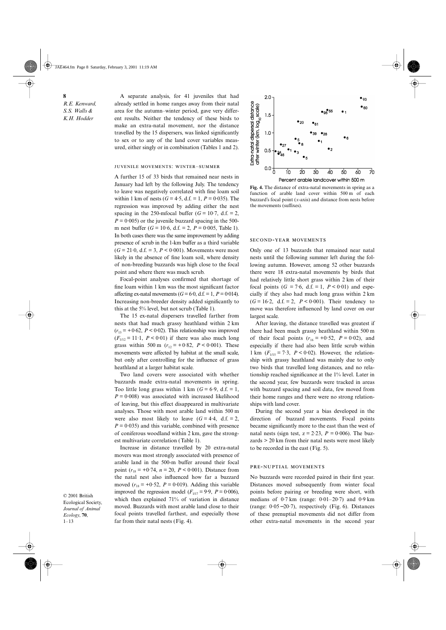JAE464.fm Page 8 Saturday, February 3, 2001 11:19 AM

**8**

*R.E. Kenward, S.S. Walls & K.H. Hodder*

A separate analysis, for 41 juveniles that had already settled in home ranges away from their natal area for the autumn–winter period, gave very different results. Neither the tendency of these birds to make an extra-natal movement, nor the distance travelled by the 15 dispersers, was linked significantly to sex or to any of the land cover variables measured, either singly or in combination (Tables 1 and 2).

#### JUVENILE MOVEMENTS: WINTER-SUMMER

A further 15 of 33 birds that remained near nests in January had left by the following July. The tendency to leave was negatively correlated with fine loam soil within 1 km of nests ( $G = 4.5$ , d.f. = 1,  $P = 0.035$ ). The regression was improved by adding either the nest spacing in the 250-mfocal buffer ( $G = 10.7$ , d.f. = 2,  $P = 0.005$ ) or the juvenile buzzard spacing in the 500m nest buffer (*G* = 10·6, d.f. = 2, *P* = 0·005, Table 1). In both cases there was the same improvement by adding presence of scrub in the 1-km buffer as a third variable  $(G = 21.0, d.f. = 3, P < 0.001)$ . Movements were most likely in the absence of fine loam soil, where density of non-breeding buzzards was high close to the focal point and where there was much scrub.

Focal-point analyses confirmed that shortage of fine loam within 1 km was the most significant factor affecting ex-natal movements ( $G = 6.0$ , d.f. = 1,  $P = 0.014$ ). Increasing non-breeder density added significantly to this at the 5% level, but not scrub (Table 1).

The 15 ex-natal dispersers travelled farther from nests that had much grassy heathland within 2 km  $(r_{13} = +0.62, P < 0.02)$ . This relationship was improved  $(F_{1/12} = 11.1, P < 0.01)$  if there was also much long grass within 500 m ( $r_{12}$  = +0·82, *P* < 0·001). These movements were affected by habitat at the small scale, but only after controlling for the influence of grass heathland at a larger habitat scale.

Two land covers were associated with whether buzzards made extra-natal movements in spring. Too little long grass within 1 km  $(G = 6.9, d.f. = 1,$  $P = 0.008$ ) was associated with increased likelihood of leaving, but this effect disappeared in multivariate analyses. Those with most arable land within 500 m were also most likely to leave  $(G = 4.4, d.f. = 2)$ .  $P = 0.035$ ) and this variable, combined with presence of coniferous woodland within 2 km, gave the strongest multivariate correlation (Table 1).

Increase in distance travelled by 20 extra-natal movers was most strongly associated with presence of arable land in the 500-m buffer around their focal point ( $r_{18}$  = +0·74,  $n = 20$ ,  $P < 0.001$ ). Distance from the natal nest also influenced how far a buzzard moved  $(r_{18} = +0.52, P = 0.019)$ . Adding this variable improved the regression model ( $F_{1/17} = 9.9$ ,  $P = 0.006$ ), which then explained 71% of variation in distance moved. Buzzards with most arable land close to their focal points travelled farthest, and especially those far from their natal nests (Fig. 4).



**Fig. 4.** The distance of extra-natal movements in spring as a function of arable land cover within 500 m of each buzzard's focal point (*x*-axis) and distance from nests before the movements (suffixes).

#### SECOND-YEAR MOVEMENTS

Only one of 13 buzzards that remained near natal nests until the following summer left during the following autumn. However, among 52 other buzzards there were 18 extra-natal movements by birds that had relatively little short grass within 2 km of their focal points ( $G = 7.6$ , d.f. = 1,  $P < 0.01$ ) and especially if they also had much long grass within 2 km  $(G = 16.2, d.f. = 2, P < 0.001)$ . Their tendency to move was therefore influenced by land cover on our largest scale.

After leaving, the distance travelled was greatest if there had been much grassy heathland within 500 m of their focal points  $(r_{16} = +0.52, P = 0.02)$ , and especially if there had also been little scrub within 1 km  $(F_{1/15} = 7.3, P < 0.02)$ . However, the relationship with grassy heathland was mainly due to only two birds that travelled long distances, and no relationship reached significance at the 1% level. Later in the second year, few buzzards were tracked in areas with buzzard spacing and soil data, few moved from their home ranges and there were no strong relationships with land cover.

During the second year a bias developed in the direction of buzzard movements. Focal points became significantly more to the east than the west of natal nests (sign test,  $z = 2.23$ ,  $P = 0.006$ ). The buzzards > 20 km from their natal nests were most likely to be recorded in the east (Fig. 5).

#### PRE-NUPTIAL MOVEMENTS

No buzzards were recorded paired in their first year. Distances moved subsequently from winter focal points before pairing or breeding were short, with medians of 0·7 km (range: 0·01–20·7) and 0·9 km (range: 0·05−20·7), respectively (Fig. 6). Distances of these prenuptial movements did not differ from other extra-natal movements in the second year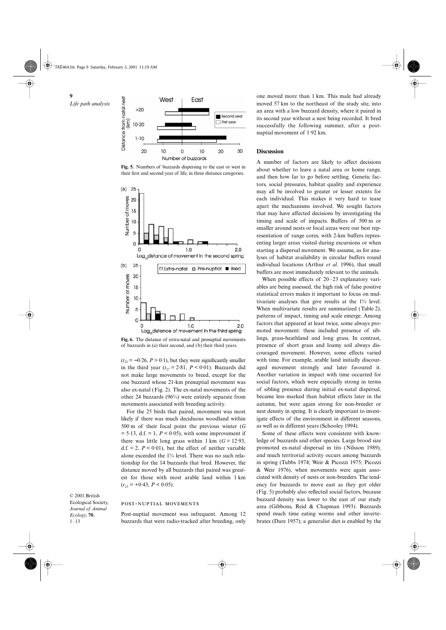**9** *Life path analysis*



**Fig. 5.** Numbers of buzzards dispersing to the east or west in their first and second year of life, in three distance categories.



**Fig. 6.** The distance of extra-natal and prenuptial movements of buzzards in (a) their second, and (b) their third years.

 $(t_{22} = -0.26, P > 0.1)$ , but they were significantly smaller in the third year  $(t_{27} = 2.81, P < 0.01)$ . Buzzards did not make large movements to breed, except for the one buzzard whose 21-km prenuptial movement was also ex-natal (Fig. 2). The ex-natal movements of the other 24 buzzards (96%) were entirely separate from movements associated with breeding activity.

For the 25 birds that paired, movement was most likely if there was much deciduous woodland within 500 m of their focal point the previous winter (*G*  $= 5.13$ , d.f.  $= 1$ ,  $P < 0.05$ ), with some improvement if there was little long grass within  $1 \text{ km } (G = 12.93,$ d.f.  $= 2$ ,  $P < 0.01$ ), but the effect of neither variable alone exceeded the 1% level. There was no such relationship for the 14 buzzards that bred. However, the distance moved by all buzzards that paired was greatest for those with most arable land within 1 km  $(r_{23} = +0.43, P < 0.05).$ 

Post-nuptial movement was infrequent. Among 12 buzzards that were radio-tracked after breeding, only

POST-NUPTIAL MOVEMENTS

© 2001 British Ecological Society, *Journal of Animal Ecology*, **70**,  $1 - 13$ 

one moved more than 1 km. This male had already moved 57 km to the northeast of the study site, into an area with a low buzzard density, where it paired in its second year without a nest being recorded. It bred successfully the following summer, after a postnuptial movement of 1·92 km.

# **Discussion**

A number of factors are likely to affect decisions about whether to leave a natal area or home range, and then how far to go before settling. Genetic factors, social pressures, habitat quality and experience may all be involved to greater or lesser extents for each individual. This makes it very hard to tease apart the mechanisms involved. We sought factors that may have affected decisions by investigating the timing and scale of impacts. Buffers of 500 m or smaller around nests or focal areas were our best representation of range cores, with 2-km buffers representing larger areas visited during excursions or when starting a dispersal movement. We assume, as for analyses of habitat availability in circular buffers round individual locations (Arthur *et al*. 1996), that small buffers are most immediately relevant to the animals.

When possible effects of 20–23 explanatory variables are being assessed, the high risk of false positive statistical errors makes it important to focus on multivariate analyses that give results at the 1% level. When multivariate results are summarized (Table 2), patterns of impact, timing and scale emerge. Among factors that appeared at least twice, some always promoted movement: these included presence of siblings, grass-heathland and long grass. In contrast, presence of short grass and loamy soil always discouraged movement. However, some effects varied with time. For example, arable land initially discouraged movement strongly and later favoured it. Another variation in impact with time occurred for social factors, which were especially strong in terms of sibling presence during initial ex-natal dispersal, became less marked than habitat effects later in the autumn, but were again strong for non-breeder or nest density in spring. It is clearly important to investigate effects of the environment in different seasons, as well as in different years (Schooley 1994).

Some of these effects were consistent with knowledge of buzzards and other species. Large brood size promoted ex-natal dispersal in tits (Nilsson 1989), and much territorial activity occurs among buzzards in spring (Tubbs 1974; Weir & Picozzi 1975; Picozzi & Weir 1976), when movements were again associated with density of nests or non-breeders. The tendency for buzzards to move east as they got older (Fig. 5) probably also reflected social factors, because buzzard density was lower to the east of our study area (Gibbons, Reid & Chapman 1993). Buzzards spend much time eating worms and other invertebrates (Dare 1957); a generalist diet is enabled by the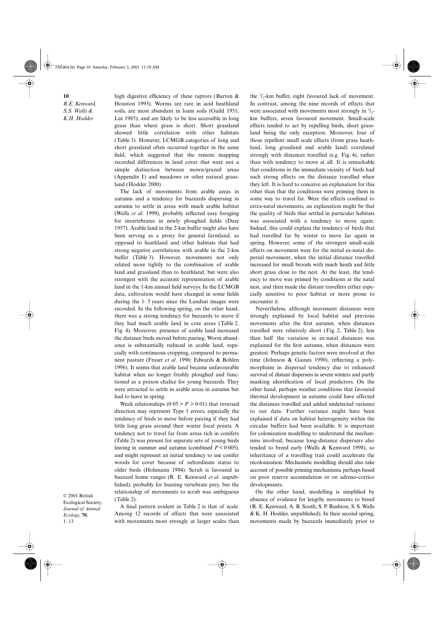# **10**

*R.E. Kenward, S.S. Walls & K.H. Hodder*

high digestive efficiency of these raptors (Barton & Houston 1993). Worms are rare in acid heathland soils, are most abundant in loam soils (Guild 1951; Lee 1985), and are likely to be less accessible in long grass than where grass is short. Short grassland showed little correlation with other habitats (Table 3). However, LCMGB categories of long and short grassland often occurred together in the same field, which suggested that the remote mapping recorded differences in land cover that were not a simple distinction between mown/grazed areas (Appendix I) and meadows or other natural grassland (Hodder 2000).

The lack of movements from arable areas in autumn and a tendency for buzzards dispersing in autumn to settle in areas with much arable habitat (Walls *et al*. 1999), probably reflected easy foraging for invertebrates in newly ploughed fields (Dare 1957). Arable land in the 2-km buffer might also have been serving as a proxy for general farmland, as opposed to heathland and other habitats that had strong negative correlations with arable in the 2-km buffer (Table 3). However, movements not only related more tightly to the combination of arable land and grassland than to heathland, but were also strongest with the accurate representation of arable land in the 1-km annual field surveys. In the LCMGB data, cultivation would have changed in some fields during the 1–5 years since the Landsat images were recorded. In the following spring, on the other hand, there was a strong tendency for buzzards to move if they had much arable land in core areas (Table 2, Fig. 4). Moreover, presence of arable land increased the distance birds moved before pairing. Worm abundance is substantially reduced in arable land, especially with continuous cropping, compared to permanent pasture (Fraser *et al*. 1996; Edwards & Bohlen 1996). It seems that arable land became unfavourable habitat when no longer freshly ploughed and functioned as a poison chalice for young buzzards. They were attracted to settle in arable areas in autumn but had to leave in spring.

Weak relationships  $(0.05 > P > 0.01)$  that reversed direction may represent Type 1 errors, especially the tendency of birds to move before pairing if they had little long grass around their winter focal points. A tendency not to travel far from areas rich in conifers (Table 2) was present for separate sets of young birds leaving in summer and autumn (combined  $P \leq 0.005$ ). and might represent an initial tendency to use conifer woods for cover because of subordinate status to older birds (Hohmann 1994). Scrub is favoured in buzzard home ranges (R. E. Kenward *et al*. unpublished), probably for hunting vertebrate prey, but the relationship of movements to scrub was ambiguous (Table 2).

A final pattern evident in Table 2 is that of scale. Among 12 records of effects that were associated with movements most strongly at larger scales than

the  $1/2$ -km buffer, eight favoured lack of movement. In contrast, among the nine records of effects that were associated with movements most strongly in  $\frac{1}{2}$ km buffers, seven favoured movement. Small-scale effects tended to act by repelling birds, short grassland being the only exception. Moreover, four of those repellent small scale effects (from grass heathland, long grassland and arable land) correlated strongly with distances travelled (e.g. Fig. 4), rather than with tendency to move at all. It is remarkable that conditions in the immediate vicinity of birds had such strong effects on the distance travelled when they left. It is hard to conceive an explanation for this other than that the conditions were priming them in some way to travel far. Were the effects confined to extra-natal movements, an explanation might be that the quality of birds that settled in particular habitats was associated with a tendency to move again. Indeed, this could explain the tendency of birds that had travelled far by winter to move far again in spring. However, some of the strongest small-scale effects on movement were for the initial ex-natal dispersal movement, when the initial distance travelled increased for small broods with much heath and little short grass close to the nest. At the least, the tendency to move was primed by conditions at the natal nest, and then made the distant travellers either especially sensitive to poor habitat or more prone to encounter it.

Nevertheless, although movement distances were strongly explained by local habitat and previous movements after the first autumn, when distances travelled were relatively short (Fig. 2, Table 2), less than half the variation in ex-natal distances was explained for the first autumn, when distances were greatest. Perhaps genetic factors were involved at this time (Johnson & Gaines 1990), reflecting a polymorphism in dispersal tendency due to enhanced survival of distant dispersers in severe winters and partly masking identification of local predictors. On the other hand, perhaps weather conditions that favoured thermal development in autumn could have affected the distances travelled and added undetected variance to our data. Further variance might have been explained if data on habitat heterogeneity within the circular buffers had been available. It is important for colonization modelling to understand the mechanisms involved, because long-distance dispersers also tended to breed early (Walls & Kenward 1998), so inheritance of a travelling trait could accelerate the recolonization. Mechanistic modelling should also take account of possible priming mechanisms, perhaps based on poor reserve accumulation or on adreno-cortico developments.

On the other hand, modelling is simplified by absence of evidence for lengthy movements to breed (R. E. Kenward, A. B. South, S. P. Rushton, S. S. Walls & K. H. Hodder, unpublished). In their second spring, movements made by buzzards immediately prior to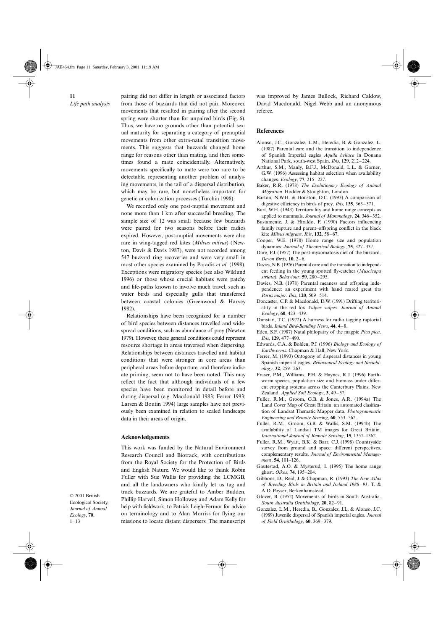**11** *Life path analysis* pairing did not differ in length or associated factors from those of buzzards that did not pair. Moreover, movements that resulted in pairing after the second spring were shorter than for unpaired birds (Fig. 6). Thus, we have no grounds other than potential sexual maturity for separating a category of prenuptial movements from other extra-natal transition movements. This suggests that buzzards changed home range for reasons other than mating, and then sometimes found a mate coincidentally. Alternatively, movements specifically to mate were too rare to be detectable, representing another problem of analysing movements, in the tail of a dispersal distribution, which may be rare, but nonetheless important for genetic or colonization processes (Turchin 1998).

We recorded only one post-nuptial movement and none more than 1 km after successful breeding. The sample size of 12 was small because few buzzards were paired for two seasons before their radios expired. However, post-nuptial movements were also rare in wing-tagged red kites (*Milvus milvus*) (Newton, Davis & Davis 1987), were not recorded among 547 buzzard ring recoveries and were very small in most other species examined by Paradis *et al*. (1998). Exceptions were migratory species (see also Wiklund 1996) or those whose crucial habitats were patchy and life-paths known to involve much travel, such as water birds and especially gulls that transferred between coastal colonies (Greenwood & Harvey 1982).

Relationships have been recognized for a number of bird species between distances travelled and widespread conditions, such as abundance of prey (Newton 1979). However, these general conditions could represent resource shortage in areas traversed when dispersing. Relationships between distances travelled and habitat conditions that were stronger in core areas than peripheral areas before departure, and therefore indicate priming, seem not to have been noted. This may reflect the fact that although individuals of a few species have been monitored in detail before and during dispersal (e.g. Macdonald 1983; Ferrer 1993; Larsen & Boutin 1994) large samples have not previously been examined in relation to scaled landscape data in their areas of origin.

#### **Acknowledgements**

This work was funded by the Natural Environment Research Council and Biotrack, with contributions from the Royal Society for the Protection of Birds and English Nature. We would like to thank Robin Fuller with Sue Wallis for providing the LCMGB, and all the landowners who kindly let us tag and track buzzards. We are grateful to Amber Budden, Phillip Harvell, Simon Holloway and Adam Kelly for help with fieldwork, to Patrick Leigh-Fermor for advice on terminology and to Alan Morriss for flying our missions to locate distant dispersers. The manuscript

was improved by James Bullock, Richard Caldow, David Macdonald, Nigel Webb and an anonymous referee.

## **References**

- Alonso, J.C., Gonzalez, L.M., Heredia, B. & Gonzalez, L. (1987) Parental care and the transition to independence of Spanish Imperial eagles *Aquila heliaca* in Donana National Park, south-west Spain. *Ibis*, **129**, 212–224.
- Arthur, S.M., Manly, B.F.J., McDonald, L.L. & Garner, G.W. (1996) Assessing habitat selection when availability changes. *Ecology*, **77**, 215–227.
- Baker, R.R. (1978) *The Evolutionary Ecology of Animal Migration*. Hodder & Stoughton, London.
- Barton, N.W.H. & Houston, D.C. (1993) A comparison of digestive efficiency in birds of prey. *Ibis*, **135**, 363–371.
- Burt, W.H. (1943) Territoriality and home range concepts as applied to mammals. *Journal of Mammalogy*, **24**, 346–352.
- Bustamente, J. & Hiraldo, F. (1990) Factors influencing family rupture and parent–offspring conflict in the black kite *Milvus migrans*. *Ibis*, **132**, 58–67.
- Cooper, W.E. (1978) Home range size and population dynamics. *Journal of Theoretical Biology*, **75**, 327–337.
- Dare, P.J. (1957) The post-myxomatosis diet of the buzzard. *Devon Birds*, **10**, 2–6.
- Davies, N.B. (1976) Parental care and the transition to independent feeding in the young spotted fly-catcher (*Muscicapa striata*). *Behaviour*, **59**, 280–295.
- Davies, N.B. (1978) Parental meaness and offspring independence: an experiment with hand reared great tits *Parus major*. *Ibis*, **120**, 509–514.
- Doncaster, C.P. & Macdonald, D.W. (1991) Drifting territoriality in the red fox *Vulpes vulpes*. *Journal of Animal Ecology*, **60**, 423–439.
- Dunstan, T.C. (1972) A harness for radio tagging raptorial birds. *Inland Bird-Banding News*, **44**, 4–8.
- Eden, S.F. (1987) Natal philopatry of the magpie *Pica pica*. *Ibis*, **129**, 477–490.
- Edwards, C.A. & Bohlen, P.J. (1996) *Biology and Ecology of Earthworms*. Chapman & Hall, New York.
- Ferrer, M. (1993) Ontogony of dispersal distances in young Spanish imperial eagles. *Behavioural Ecology and Sociobiology*, **32**, 259–263.
- Fraser, P.M., Williams, P.H. & Haynes, R.J. (1996) Earthworm species, population size and biomass under different cropping systems across the Canterbury Plains, New Zealand. *Applied Soil Ecology*, **3**, 49–57.
- Fuller, R.M., Groom, G.B. & Jones, A.R. (1994a) The Land Cover Map of Great Britain: an automated clasification of Landsat Thematic Mapper data. *Photogrammatic Engineering and Remote Sensing*, **60**, 553–562.
- Fuller, R.M., Groom, G.B. & Wallis, S.M. (1994b) The availability of Landsat TM images for Great Britain. *International Journal of Remote Sensing*, **15**, 1357–1362.
- Fuller, R.M., Wyatt, B.K. & Barr, C.J. (1998) Countryside survey from ground and space: different perspectives, complementary results. *Journal of Environmental Management*, **54**, 101–126.
- Gautestad, A.O. & Mysterud, I. (1995) The home range ghost. *Oikos*, **74**, 195–204.
- Gibbons, D., Reid, J. & Chapman, R. (1993) *The New Atlas of Breeding Birds in Britain and Ireland 1988–91*. T. & A.D. Poyser, Berkenhamstead.
- Glover, B. (1952) Movements of birds in South Australia. *South Australia Ornithology*, **20**, 82–91.
- Gonzalez, L.M., Heredia, B., Gonzalez, J.L. & Alonso, J.C. (1989) Juvenile dispersal of Spanish imperial eagles. *Journal of Field Ornithology*, **60**, 369–379.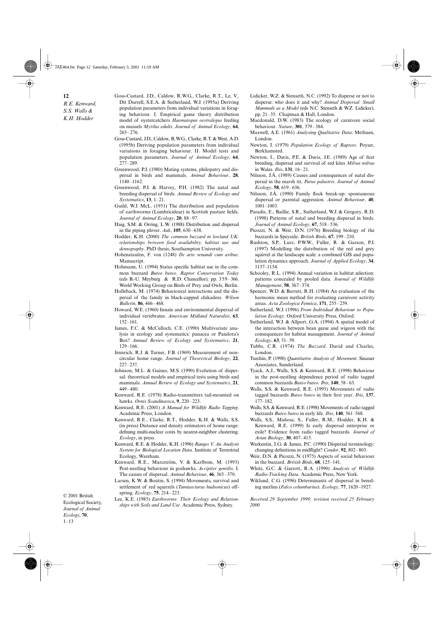JAE464.fm Page 12 Saturday, February 3, 2001 11:19 AM

**12** *R.E. Kenward,* 

*S.S. Walls & K.H. Hodder*

© 2001 British Ecological Society, *Journal of Animal Ecology*, **70**,  $1 - 13$ 

- Goss-Custard, J.D., Caldow, R.W.G., Clarke, R.T., Le, V., Dit Durrell, S.E.A. & Sutherland, W.J. (1995a) Deriving population parameters from individual variations in foraging behaviour. I. Empirical game theory distribution model of oystercatchers *Haematopus oestralegus* feeding on mussels *Mytilus edulis*. *Journal of Animal Ecology*, **64**, 265–276.
- Goss-Custard, J.D., Caldow, R.W.G., Clarke, R.T. & West, A.D. (1995b) Deriving population parameters from individual variations in foraging behaviour. II. Model tests and population parameters. *Journal of Animal Ecology*, **64**, 277–289.
- Greenwood, P.J. (1980) Mating systems, philopatry and dispersal in birds and mammals. *Animal Behaviour*, **28**, 1140–1162.
- Greenwood, P.J. & Harvey, P.H. (1982) The natal and breeding dispersal of birds. *Annual Review of Ecology and Systematics*, **13**, 1–21.
- Guild, W.J. McL. (1951) The distribution and population of earthworms (Lumbricideae) in Scottish pasture fields. *Journal of Animal Ecology*, **20**, 88–97.
- Haig, S.M. & Orring, L.W. (1988) Distribution and dispersal in the piping plover. *Auk*, **105**, 630–638.
- Hodder, K.H. (2000) *The common buzzard in lowland UK: relationships between food availability, habitat use and demography*. PhD thesis, Southampton University.
- Hohenstaufen, F. von (1248) *De arte venandi cum avibus*. Manuscript.
- Hohmann, U. (1994) Status specific habitat use in the common buzzard *Buteo buteo*. *Raptor Conservation Today* (eds B.-U. Meyburg & R.D. Chancellor), pp. 359–366. World Working Group on Birds of Prey and Owls, Berlin.
- Holleback, M. (1974) Behavioural interactions and the dispersal of the family in black-capped chikadees. *Wilson Bulletin*, **86**, 466–468.
- Howard, W.E. (1960) Innate and environmental dispersal of individual vertebrates. *American Midland Naturalist*, **63**, 152–161.
- James, F.C. & McCulloch, C.E. (1990) Multivariate analysis in ecology and systematics: panacea or Pandora's Box? *Annual Review of Ecology and Systematics*, **21**, 129–166.
- Jennrich, R.J. & Turner, F.B. (1969) Measurement of noncircular home range. *Journal of Theoretical Biology*, **22**, 227–237.
- Johnson, M.L. & Gaines, M.S. (1990) Evolution of dispersal: theoretical models and empirical tests using birds and mammals. *Annual Review of Ecology and Systematics*, **21**, 449–480.
- Kenward, R.E. (1978) Radio-transmitters tail-mounted on hawks. *Ornis Scandinavica*, **9**, 220–223.
- Kenward, R.E. (2001) *A Manual for Wildlife Radio Tagging*. Academic Press, London.
- Kenward, R.E., Clarke, R.T., Hodder, K.H. & Walls, S.S. (in press) Distance and density estimators of home range: defining multi-nuclear cores by nearest-neighbor clustering. *Ecology*, in press.
- Kenward, R.E. & Hodder, K.H. (1996) *Ranges V. An Analysis System for Biological Location Data*. Institute of Terrestrial Ecology, Wareham.
- Kenward, R.E., Marcström, V. & Karlbom, M. (1993) Post-nestling behaviour in goshawks, *Accipiter gentilis*. I. The causes of dispersal. *Animal Behaviour*, **46**, 365–370.
- Larsen, K.W. & Boutin, S. (1994) Movements, survival and settlement of red squirrels (*Tamiasciurus hudsonicus*) offspring. *Ecology*, **75**, 214–223.
- Lee, K.E. (1985) *Earthworms: Their Ecology and Relationships with Soils and Land Use*. Academic Press, Sydney.
- Lidicker, W.Z. & Stenseth, N.C. (1992) To disperse or not to disperse: who does it and why? *Animal Dispersal: Small Mammals as a Model* (eds N.C. Stenseth & W.Z. Lidicker), pp. 21–35. Chapman & Hall, London.
- Macdonald, D.W. (1983) The ecology of carnivore social behaviour. *Nature*, **301**, 379–384.
- Maxwell, A.E. (1961) *Analysing Qualitative Data*. Methuen, London.
- Newton, I. (1979) *Population Ecology of Raptors*. Poyser, Berkhamsted.
- Newton, I., Davis, P.E. & Davis, J.E. (1989) Age of first breeding, dispersal and survival of red kites *Milvus milvus* in Wales. *Ibis*, **131**, 16–21.
- Nilsson, J.Å. (1989) Causes and consequences of natal dispersal in the marsh tit, *Parus palustris*. *Journal of Animal Ecology*, **58**, 619–636.
- Nilsson, J.Å. (1990) Family flock break-up: spontaneous dispersal or parental aggression. *Animal Behaviour*, **40**, 1001–1003.
- Paradis, E., Baillie, S.R., Sutherland, W.J. & Gregory, R.D. (1998) Patterns of natal and breeding dispersal in birds. *Journal of Animal Ecology*, **67**, 518–536.
- Picozzi, N. & Weir, D.N. (1976) Breeding biology of the buzzards in Speyside. *British Birds*, **67**, 199–210.
- Rushton, S.P., Lurz, P.W.W., Fuller, R. & Garson, P.J. (1997) Modelling the distribution of the red and grey squirrel at the landscape scale: a combined GIS and population dynamics approach. *Journal of Applied Ecology*, **34**, 1137–1154.
- Schooley, R.L. (1994) Annual variation in habitat selection: patterns concealed by pooled data. *Journal of Wildlife Management*, **58**, 367–374.
- Spencer, W.D. & Barrett, R.H. (1984) An evaluation of the harmonic mean method for evaluating carnivore activity areas. *Acta Zoologica Fennica*, **171**, 255–259.
- Sutherland, W.J. (1996) *From Individual Behaviour to Population Ecology*. Oxford University Press, Oxford.
- Sutherland, W.J. & Allport, G.A. (1994) A spatial model of the interaction between bean geese and wigeon with the consequences for habitat management. *Journal of Animal Ecology*, **63**, 51–59.
- Tubbs, C.R. (1974) *The Buzzard*. David and Charles, London.
- Turchin, P. (1998) *Quantitative Analysis of Movement*. Sinauer Associates, Sunderland.
- Tyack, A.J., Walls, S.S. & Kenward, R.E. (1998) Behaviour in the post-nestling dependence period of radio tagged common buzzards *Buteo buteo*. *Ibis*, **140**, 58–63.
- Walls, S.S. & Kenward, R.E. (1995) Movements of radio tagged buzzards *Buteo buteo* in their first year. *Ibis*, **137**, 177–182.
- Walls, S.S. & Kenward, R.E. (1998) Movements of radio tagged buzzards *Buteo buteo* in early life. *Ibis*, **140**, 561–568.
- Walls, S.S., Mañosa, S., Fuller, R.M., Hodder, K.H. & Kenward, R.E. (1999) Is early dispersal enterprise or exile? Evidence from radio tagged buzzards. *Journal of Avian Biology*, **30**, 407–415.
- Warkentin, I.G. & James, P.C. (1990) Dispersal terminology: changing definitions in midflight? *Condor*, **92**, 802–803. Weir, D.N. & Picozzi, N. (1975) Aspects of social behaviour
- in the buzzard. *British Birds*, **68**, 125–141. White, G.C. & Garrott, R.A. (1990) *Analysis of Wildlife*
- *Radio-Tracking Data*. Academic Press, New York. Wiklund, C.G. (1996) Determinants of dispersal in breeding merlins (*Falco columbarius*). *Ecology*, **77**, 1620–1927.

*Received 29 September 1999; revision received 25 February 2000*